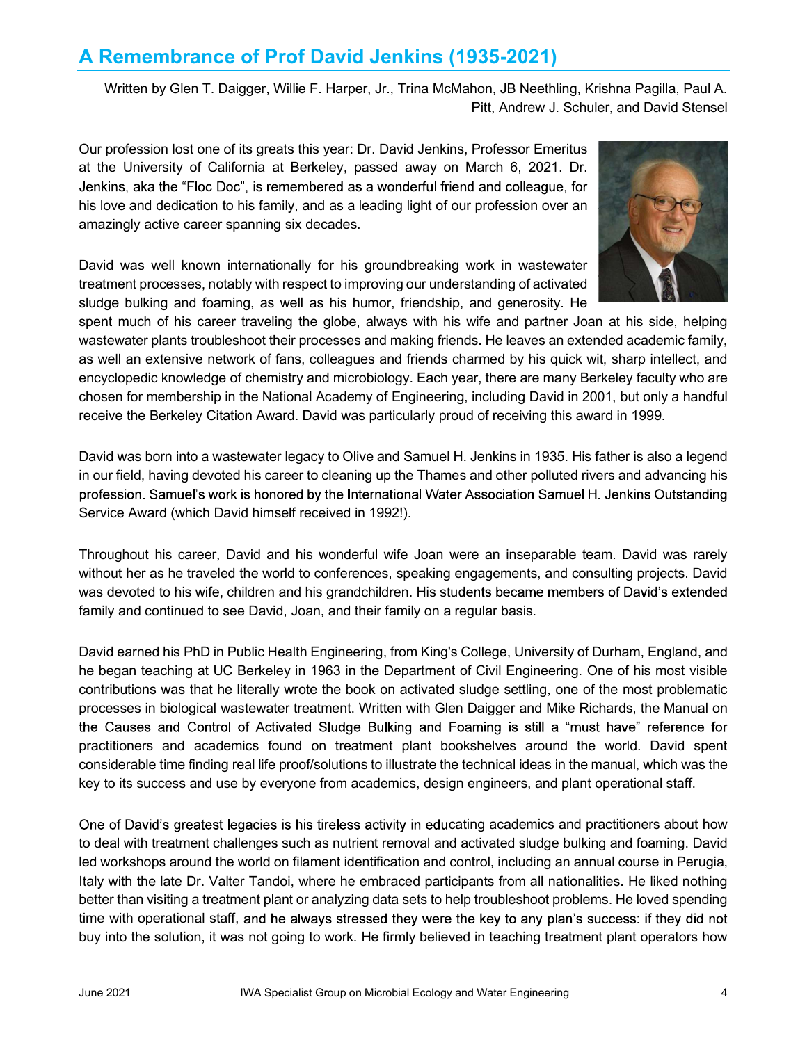## A Remembrance of Prof David Jenkins (1935-2021)

Written by Glen T. Daigger, Willie F. Harper, Jr., Trina McMahon, JB Neethling, Krishna Pagilla, Paul A. Pitt, Andrew J. Schuler, and David Stensel

Our profession lost one of its greats this year: Dr. David Jenkins, Professor Emeritus at the University of California at Berkeley, passed away on March 6, 2021. Dr. Jenkins, aka the "Floc Doc", is remembered as a wonderful friend and colleague, for his love and dedication to his family, and as a leading light of our profession over an amazingly active career spanning six decades.



David was well known internationally for his groundbreaking work in wastewater treatment processes, notably with respect to improving our understanding of activated sludge bulking and foaming, as well as his humor, friendship, and generosity. He

spent much of his career traveling the globe, always with his wife and partner Joan at his side, helping wastewater plants troubleshoot their processes and making friends. He leaves an extended academic family, as well an extensive network of fans, colleagues and friends charmed by his quick wit, sharp intellect, and encyclopedic knowledge of chemistry and microbiology. Each year, there are many Berkeley faculty who are chosen for membership in the National Academy of Engineering, including David in 2001, but only a handful receive the Berkeley Citation Award. David was particularly proud of receiving this award in 1999.

David was born into a wastewater legacy to Olive and Samuel H. Jenkins in 1935. His father is also a legend in our field, having devoted his career to cleaning up the Thames and other polluted rivers and advancing his profession. Samuel's work is honored by the International Water Association Samuel H. Jenkins Outstanding Service Award (which David himself received in 1992!).

Throughout his career, David and his wonderful wife Joan were an inseparable team. David was rarely without her as he traveled the world to conferences, speaking engagements, and consulting projects. David was devoted to his wife, children and his grandchildren. His students became members of David's extended family and continued to see David, Joan, and their family on a regular basis.

David earned his PhD in Public Health Engineering, from King's College, University of Durham, England, and he began teaching at UC Berkeley in 1963 in the Department of Civil Engineering. One of his most visible contributions was that he literally wrote the book on activated sludge settling, one of the most problematic processes in biological wastewater treatment. Written with Glen Daigger and Mike Richards, the Manual on the Causes and Control of Activated Sludge Bulking and Foaming is still a "must have" reference for practitioners and academics found on treatment plant bookshelves around the world. David spent considerable time finding real life proof/solutions to illustrate the technical ideas in the manual, which was the key to its success and use by everyone from academics, design engineers, and plant operational staff.

One of David's greatest legacies is his tireless activity in educating academics and practitioners about how to deal with treatment challenges such as nutrient removal and activated sludge bulking and foaming. David led workshops around the world on filament identification and control, including an annual course in Perugia, Italy with the late Dr. Valter Tandoi, where he embraced participants from all nationalities. He liked nothing better than visiting a treatment plant or analyzing data sets to help troubleshoot problems. He loved spending time with operational staff, and he always stressed they were the key to any plan's success: if they did not buy into the solution, it was not going to work. He firmly believed in teaching treatment plant operators how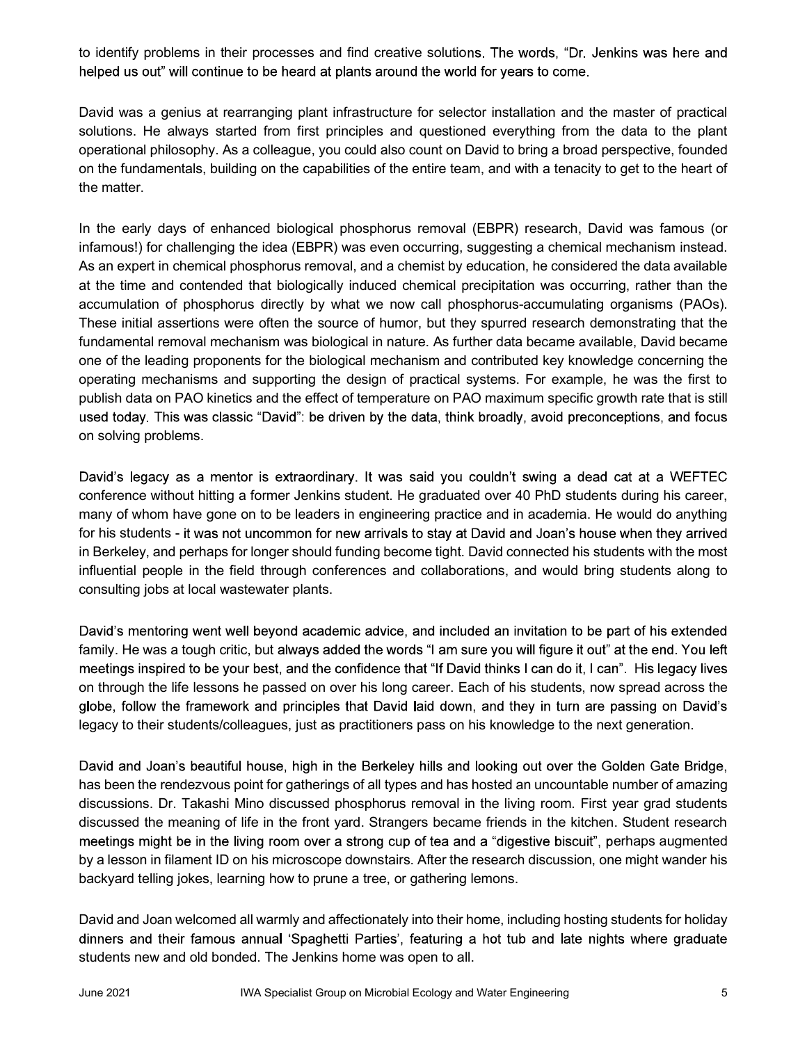to identify problems in their processes and find creative solutions. The words, "Dr. Jenkins was here and helped us out" will continue to be heard at plants around the world for years to come.

David was a genius at rearranging plant infrastructure for selector installation and the master of practical solutions. He always started from first principles and questioned everything from the data to the plant operational philosophy. As a colleague, you could also count on David to bring a broad perspective, founded on the fundamentals, building on the capabilities of the entire team, and with a tenacity to get to the heart of the matter.

In the early days of enhanced biological phosphorus removal (EBPR) research, David was famous (or infamous!) for challenging the idea (EBPR) was even occurring, suggesting a chemical mechanism instead. As an expert in chemical phosphorus removal, and a chemist by education, he considered the data available at the time and contended that biologically induced chemical precipitation was occurring, rather than the accumulation of phosphorus directly by what we now call phosphorus-accumulating organisms (PAOs). These initial assertions were often the source of humor, but they spurred research demonstrating that the fundamental removal mechanism was biological in nature. As further data became available, David became one of the leading proponents for the biological mechanism and contributed key knowledge concerning the operating mechanisms and supporting the design of practical systems. For example, he was the first to publish data on PAO kinetics and the effect of temperature on PAO maximum specific growth rate that is still used today. This was classic "David": be driven by the data, think broadly, avoid preconceptions, and focus on solving problems.

David's legacy as a mentor is extraordinary. It was said you couldn't swing a dead cat at a WEFTEC conference without hitting a former Jenkins student. He graduated over 40 PhD students during his career, many of whom have gone on to be leaders in engineering practice and in academia. He would do anything for his students - it was not uncommon for new arrivals to stay at David and Joan's house when they arrived in Berkeley, and perhaps for longer should funding become tight. David connected his students with the most influential people in the field through conferences and collaborations, and would bring students along to consulting jobs at local wastewater plants.

David's mentoring went well beyond academic advice, and included an invitation to be part of his extended family. He was a tough critic, but always added the words "I am sure you will figure it out" at the end. You left meetings inspired to be your best, and the confidence that "If David thinks I can do it, I can". His legacy lives on through the life lessons he passed on over his long career. Each of his students, now spread across the globe, follow the framework and principles that David laid down, and they in turn are passing on David's legacy to their students/colleagues, just as practitioners pass on his knowledge to the next generation.

David and Joan's beautiful house, high in the Berkeley hills and looking out over the Golden Gate Bridge, has been the rendezvous point for gatherings of all types and has hosted an uncountable number of amazing discussions. Dr. Takashi Mino discussed phosphorus removal in the living room. First year grad students discussed the meaning of life in the front yard. Strangers became friends in the kitchen. Student research meetings might be in the living room over a strong cup of tea and a "digestive biscuit", perhaps augmented by a lesson in filament ID on his microscope downstairs. After the research discussion, one might wander his backyard telling jokes, learning how to prune a tree, or gathering lemons.

David and Joan welcomed all warmly and affectionately into their home, including hosting students for holiday dinners and their famous annual 'Spaghetti Parties', featuring a hot tub and late nights where graduate students new and old bonded. The Jenkins home was open to all.